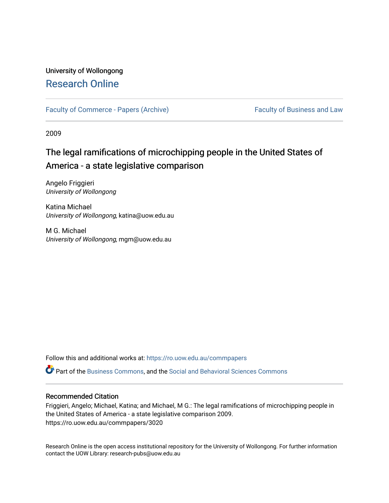# University of Wollongong [Research Online](https://ro.uow.edu.au/)

[Faculty of Commerce - Papers \(Archive\)](https://ro.uow.edu.au/commpapers) Faculty of Business and Law

2009

# The legal ramifications of microchipping people in the United States of America - a state legislative comparison

Angelo Friggieri University of Wollongong

Katina Michael University of Wollongong, katina@uow.edu.au

M G. Michael University of Wollongong, mgm@uow.edu.au

Follow this and additional works at: [https://ro.uow.edu.au/commpapers](https://ro.uow.edu.au/commpapers?utm_source=ro.uow.edu.au%2Fcommpapers%2F3020&utm_medium=PDF&utm_campaign=PDFCoverPages) 

Part of the [Business Commons](http://network.bepress.com/hgg/discipline/622?utm_source=ro.uow.edu.au%2Fcommpapers%2F3020&utm_medium=PDF&utm_campaign=PDFCoverPages), and the [Social and Behavioral Sciences Commons](http://network.bepress.com/hgg/discipline/316?utm_source=ro.uow.edu.au%2Fcommpapers%2F3020&utm_medium=PDF&utm_campaign=PDFCoverPages) 

## Recommended Citation

Friggieri, Angelo; Michael, Katina; and Michael, M G.: The legal ramifications of microchipping people in the United States of America - a state legislative comparison 2009. https://ro.uow.edu.au/commpapers/3020

Research Online is the open access institutional repository for the University of Wollongong. For further information contact the UOW Library: research-pubs@uow.edu.au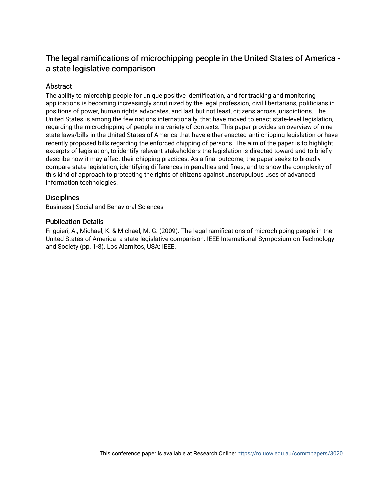# The legal ramifications of microchipping people in the United States of America a state legislative comparison

## Abstract

The ability to microchip people for unique positive identification, and for tracking and monitoring applications is becoming increasingly scrutinized by the legal profession, civil libertarians, politicians in positions of power, human rights advocates, and last but not least, citizens across jurisdictions. The United States is among the few nations internationally, that have moved to enact state-level legislation, regarding the microchipping of people in a variety of contexts. This paper provides an overview of nine state laws/bills in the United States of America that have either enacted anti-chipping legislation or have recently proposed bills regarding the enforced chipping of persons. The aim of the paper is to highlight excerpts of legislation, to identify relevant stakeholders the legislation is directed toward and to briefly describe how it may affect their chipping practices. As a final outcome, the paper seeks to broadly compare state legislation, identifying differences in penalties and fines, and to show the complexity of this kind of approach to protecting the rights of citizens against unscrupulous uses of advanced information technologies.

## **Disciplines**

Business | Social and Behavioral Sciences

## Publication Details

Friggieri, A., Michael, K. & Michael, M. G. (2009). The legal ramifications of microchipping people in the United States of America- a state legislative comparison. IEEE International Symposium on Technology and Society (pp. 1-8). Los Alamitos, USA: IEEE.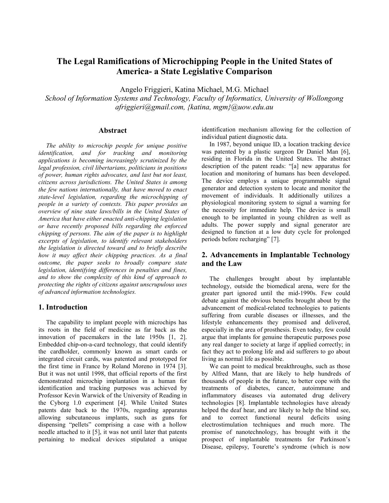## **The Legal Ramifications of Microchipping People in the United States of America- a State Legislative Comparison**

Angelo Friggieri, Katina Michael, M.G. Michael

*School of Information Systems and Technology, Faculty of Informatics, University of Wollongong afriggieri@gmail.com, {katina, mgm}@uow.edu.au*

## **Abstract**

*The ability to microchip people for unique positive identification, and for tracking and monitoring applications is becoming increasingly scrutinized by the legal profession, civil libertarians, politicians in positions of power, human rights advocates, and last but not least, citizens across jurisdictions. The United States is among the few nations internationally, that have moved to enact state-level legislation, regarding the microchipping of people in a variety of contexts. This paper provides an overview of nine state laws/bills in the United States of America that have either enacted anti-chipping legislation or have recently proposed bills regarding the enforced chipping of persons. The aim of the paper is to highlight excerpts of legislation, to identify relevant stakeholders the legislation is directed toward and to briefly describe how it may affect their chipping practices. As a final outcome, the paper seeks to broadly compare state legislation, identifying differences in penalties and fines, and to show the complexity of this kind of approach to protecting the rights of citizens against unscrupulous uses of advanced information technologies.* 

## **1. Introduction**

The capability to implant people with microchips has its roots in the field of medicine as far back as the innovation of pacemakers in the late 1950s [1, 2]. Embedded chip-on-a-card technology, that could identify the cardholder, commonly known as smart cards or integrated circuit cards, was patented and prototyped for the first time in France by Roland Moreno in 1974 [3]. But it was not until 1998, that official reports of the first demonstrated microchip implantation in a human for identification and tracking purposes was achieved by Professor Kevin Warwick of the University of Reading in the Cyborg 1.0 experiment [4]. While United States patents date back to the 1970s, regarding apparatus allowing subcutaneous implants, such as guns for dispensing "pellets" comprising a case with a hollow needle attached to it [5], it was not until later that patents pertaining to medical devices stipulated a unique

identification mechanism allowing for the collection of individual patient diagnostic data.

In 1987, beyond unique ID, a location tracking device was patented by a plastic surgeon Dr Daniel Man [6], residing in Florida in the United States. The abstract description of the patent reads: "[a] new apparatus for location and monitoring of humans has been developed. The device employs a unique programmable signal generator and detection system to locate and monitor the movement of individuals. It additionally utilizes a physiological monitoring system to signal a warning for the necessity for immediate help. The device is small enough to be implanted in young children as well as adults. The power supply and signal generator are designed to function at a low duty cycle for prolonged periods before recharging" [7].

## **2. Advancements in Implantable Technology and the Law**

The challenges brought about by implantable technology, outside the biomedical arena, were for the greater part ignored until the mid-1990s. Few could debate against the obvious benefits brought about by the advancement of medical-related technologies to patients suffering from curable diseases or illnesses, and the lifestyle enhancements they promised and delivered, especially in the area of prosthesis. Even today, few could argue that implants for genuine therapeutic purposes pose any real danger to society at large if applied correctly; in fact they act to prolong life and aid sufferers to go about living as normal life as possible.

We can point to medical breakthroughs, such as those by Alfred Mann, that are likely to help hundreds of thousands of people in the future, to better cope with the treatments of diabetes, cancer, autoimmune and inflammatory diseases via automated drug delivery technologies [8]. Implantable technologies have already helped the deaf hear, and are likely to help the blind see, and to correct functional neural deficits using electrostimulation techniques and much more. The promise of nanotechnology, has brought with it the prospect of implantable treatments for Parkinson's Disease, epilepsy, Tourette's syndrome (which is now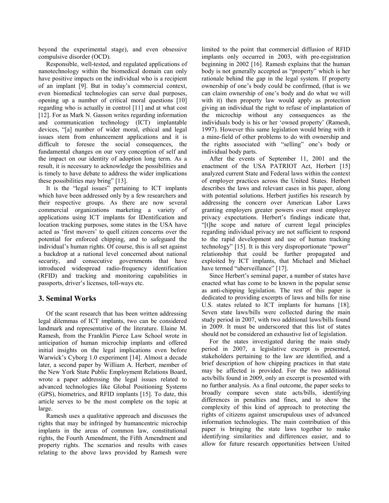beyond the experimental stage), and even obsessive compulsive disorder (OCD).

Responsible, well-tested, and regulated applications of nanotechnology within the biomedical domain can only have positive impacts on the individual who is a recipient of an implant [9]. But in today's commercial context, even biomedical technologies can serve dual purposes, opening up a number of critical moral questions [10] regarding who is actually in control [11] and at what cost [12]. For as Mark N. Gasson writes regarding information and communication technology (ICT) implantable devices, "[a] number of wider moral, ethical and legal issues stem from enhancement applications and it is difficult to foresee the social consequences, the fundamental changes on our very conception of self and the impact on our identity of adoption long term. As a result, it is necessary to acknowledge the possibilities and is timely to have debate to address the wider implications these possibilities may bring" [13].

It is the "legal issues" pertaining to ICT implants which have been addressed only by a few researchers and their respective groups. As there are now several commercial organizations marketing a variety of applications using ICT implants for IDentification and location tracking purposes, some states in the USA have acted as 'first movers' to quell citizen concerns over the potential for enforced chipping, and to safeguard the individual's human rights. Of course, this is all set against a backdrop at a national level concerned about national security, and consecutive governments that have introduced widespread radio-frequency identification (RFID) and tracking and monitoring capabilities in passports, driver's licenses, toll-ways etc.

## **3. Seminal Works**

Of the scant research that has been written addressing legal dilemmas of ICT implants, two can be considered landmark and representative of the literature. Elaine M. Ramesh, from the Franklin Pierce Law School wrote in anticipation of human microchip implants and offered initial insights on the legal implications even before Warwick's Cyborg 1.0 experiment [14]. Almost a decade later, a second paper by William A. Herbert, member of the New York State Public Employment Relations Board, wrote a paper addressing the legal issues related to advanced technologies like Global Positioning Systems (GPS), biometrics, and RFID implants [15]. To date, this article serves to be the most complete on the topic at large.

Ramesh uses a qualitative approach and discusses the rights that may be infringed by humancentric microchip implants in the areas of common law, constitutional rights, the Fourth Amendment, the Fifth Amendment and property rights. The scenarios and results with cases relating to the above laws provided by Ramesh were limited to the point that commercial diffusion of RFID implants only occurred in 2003, with pre-registration beginning in 2002 [16]. Ramesh explains that the human body is not generally accepted as "property" which is her rationale behind the gap in the legal system. If property ownership of one's body could be confirmed, (that is we can claim ownership of one's body and do what we will with it) then property law would apply as protection giving an individual the right to refuse of implantation of the microchip without any consequences as the individuals body is his or her 'owned property' (Ramesh, 1997). However this same legislation would bring with it a mine-field of other problems to do with ownership and the rights associated with "selling" one's body or individual body parts.

After the events of September 11, 2001 and the enactment of the USA PATRIOT Act, Herbert [15] analyzed current State and Federal laws within the context of employer practices across the United States. Herbert describes the laws and relevant cases in his paper, along with potential solutions. Herbert justifies his research by addressing the concern over American Labor Laws granting employers greater powers over most employee privacy expectations. Herbert's findings indicate that, "[t]he scope and nature of current legal principles regarding individual privacy are not sufficient to respond to the rapid development and use of human tracking technology" [15]. It is this very disproportionate "power" relationship that could be further propagated and exploited by ICT implants, that Michael and Michael have termed "uberveillance" [17].

Since Herbert's seminal paper, a number of states have enacted what has come to be known in the popular sense as anti-chipping legislation. The rest of this paper is dedicated to providing excerpts of laws and bills for nine U.S. states related to ICT implants for humans [18]. Seven state laws/bills were collected during the main study period in 2007, with two additional laws/bills found in 2009. It must be underscored that this list of states should not be considered an exhaustive list of legislation.

For the states investigated during the main study period in 2007, a legislative excerpt is presented, stakeholders pertaining to the law are identified, and a brief description of how chipping practices in that state may be affected is provided. For the two additional acts/bills found in 2009, only an excerpt is presented with no further analysis. As a final outcome, the paper seeks to broadly compare seven state acts/bills, identifying differences in penalties and fines, and to show the complexity of this kind of approach to protecting the rights of citizens against unscrupulous uses of advanced information technologies. The main contribution of this paper is bringing the state laws together to make identifying similarities and differences easier, and to allow for future research opportunities between United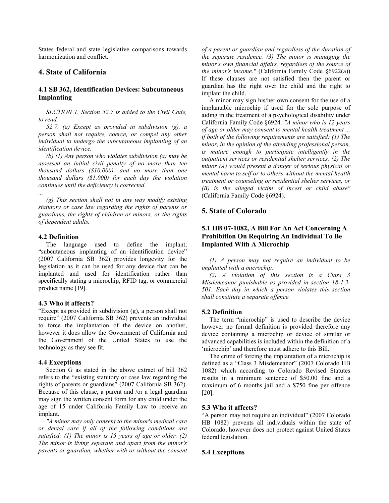States federal and state legislative comparisons towards harmonization and conflict.

#### **4. State of California**

## **4.1 SB 362, Identification Devices: Subcutaneous Implanting**

*SECTION 1. Section 52.7 is added to the Civil Code, to read:* 

*52.7. (a) Except as provided in subdivision (g), a person shall not require, coerce, or compel any other individual to undergo the subcutaneous implanting of an identification device.* 

*(b) (1) Any person who violates subdivision (a) may be assessed an initial civil penalty of no more than ten thousand dollars (\$10,000), and no more than one thousand dollars (\$1,000) for each day the violation continues until the deficiency is corrected.* 

*(g) This section shall not in any way modify existing statutory or case law regarding the rights of parents or guardians, the rights of children or minors, or the rights of dependent adults.*

#### **4.2 Definition**

*...* 

The language used to define the implant; "subcutaneous implanting of an identification device" (2007 California SB 362) provides longevity for the legislation as it can be used for any device that can be implanted and used for identification rather than specifically stating a microchip, RFID tag, or commercial product name [19].

#### **4.3 Who it affects?**

"Except as provided in subdivision (g), a person shall not require" (2007 California SB 362) prevents an individual to force the implantation of the device on another, however it does allow the Government of California and the Government of the United States to use the technology as they see fit.

#### **4.4 Exceptions**

Section G as stated in the above extract of bill 362 refers to the "existing statutory or case law regarding the rights of parents or guardians" (2007 California SB 362). Because of this clause, a parent and /or a legal guardian may sign the written consent form for any child under the age of 15 under California Family Law to receive an implant.

*"A minor may only consent to the minor's medical care or dental care if all of the following conditions are satisfied: (1) The minor is 15 years of age or older. (2) The minor is living separate and apart from the minor's parents or guardian, whether with or without the consent*  *of a parent or guardian and regardless of the duration of the separate residence. (3) The minor is managing the minor's own financial affairs, regardless of the source of the minor's income."* (California Family Code §6922(a)) If these clauses are not satisfied then the parent or guardian has the right over the child and the right to implant the child.

A minor may sign his/her own consent for the use of a implantable microchip if used for the sole purpose of aiding in the treatment of a psychological disability under California Family Code §6924. *"A minor who is 12 years of age or older may consent to mental health treatment ... if both of the following requirements are satisfied: (1) The minor, in the opinion of the attending professional person, is mature enough to participate intelligently in the outpatient services or residential shelter services. (2) The minor (A) would present a danger of serious physical or mental harm to self or to others without the mental health treatment or counseling or residential shelter services, or (B) is the alleged victim of incest or child abuse"* (California Family Code §6924).

#### **5. State of Colorado**

## **5.1 HB 07-1082, A Bill For An Act Concerning A Prohibition On Requiring An Individual To Be Implanted With A Microchip**

*(1) A person may not require an individual to be implanted with a microchip.* 

*(2) A violation of this section is a Class 3 Misdemeanor punishable as provided in section 18-1.3- 501. Each day in which a person violates this section shall constitute a separate offence.* 

#### **5.2 Definition**

The term "microchip" is used to describe the device however no formal definition is provided therefore any device containing a microchip or device of similar or advanced capabilities is included within the definition of a 'microchip' and therefore must adhere to this Bill.

The crime of forcing the implantation of a microchip is defined as a "Class 3 Misdemeanor" (2007 Colorado HB 1082) which according to Colorado Revised Statutes results in a minimum sentence of \$50.00 fine and a maximum of 6 months jail and a \$750 fine per offence [20].

#### **5.3 Who it affects?**

"A person may not require an individual" (2007 Colorado HB 1082) prevents all individuals within the state of Colorado, however does not protect against United States federal legislation.

#### **5.4 Exceptions**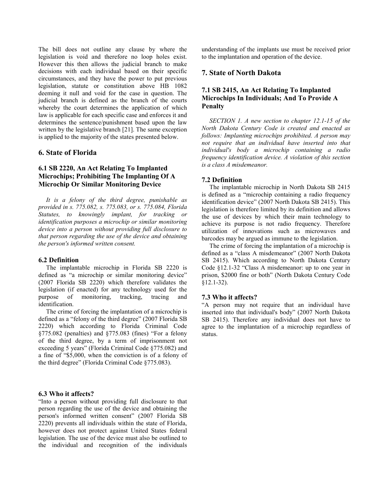The bill does not outline any clause by where the legislation is void and therefore no loop holes exist. However this then allows the judicial branch to make decisions with each individual based on their specific circumstances, and they have the power to put previous legislation, statute or constitution above HB 1082 deeming it null and void for the case in question. The judicial branch is defined as the branch of the courts whereby the court determines the application of which law is applicable for each specific case and enforces it and determines the sentence/punishment based upon the law written by the legislative branch [21]. The same exception is applied to the majority of the states presented below.

### **6. State of Florida**

## **6.1 SB 2220, An Act Relating To Implanted Microchips; Prohibiting The Implanting Of A Microchip Or Similar Monitoring Device**

*It is a felony of the third degree, punishable as provided in s. 775.082, s. 775.083, or s. 775.084, Florida Statutes, to knowingly implant, for tracking or identification purposes a microchip or similar monitoring device into a person without providing full disclosure to that person regarding the use of the device and obtaining the person's informed written consent.* 

### **6.2 Definition**

The implantable microchip in Florida SB 2220 is defined as "a microchip or similar monitoring device" (2007 Florida SB 2220) which therefore validates the legislation (if enacted) for any technology used for the purpose of monitoring, tracking, tracing and identification.

The crime of forcing the implantation of a microchip is defined as a "felony of the third degree" (2007 Florida SB 2220) which according to Florida Criminal Code §775.082 (penalties) and §775.083 (fines) "For a felony of the third degree, by a term of imprisonment not exceeding 5 years" (Florida Criminal Code §775.082) and a fine of "\$5,000, when the conviction is of a felony of the third degree" (Florida Criminal Code §775.083).

### **6.3 Who it affects?**

"Into a person without providing full disclosure to that person regarding the use of the device and obtaining the person's informed written consent" (2007 Florida SB 2220) prevents all individuals within the state of Florida, however does not protect against United States federal legislation. The use of the device must also be outlined to the individual and recognition of the individuals understanding of the implants use must be received prior to the implantation and operation of the device.

## **7. State of North Dakota**

## **7.1 SB 2415, An Act Relating To Implanted Microchips In Individuals; And To Provide A Penalty**

*SECTION 1. A new section to chapter 12.1-15 of the North Dakota Century Code is created and enacted as follows: Implanting microchips prohibited. A person may not require that an individual have inserted into that individual's body a microchip containing a radio frequency identification device. A violation of this section is a class A misdemeanor.* 

#### **7.2 Definition**

The implantable microchip in North Dakota SB 2415 is defined as a "microchip containing a radio frequency identification device" (2007 North Dakota SB 2415). This legislation is therefore limited by its definition and allows the use of devices by which their main technology to achieve its purpose is not radio frequency. Therefore utilization of innovations such as microwaves and barcodes may be argued as immune to the legislation.

The crime of forcing the implantation of a microchip is defined as a "class A misdemeanor" (2007 North Dakota SB 2415). Which according to North Dakota Century Code §12.1-32 "Class A misdemeanor: up to one year in prison, \$2000 fine or both" (North Dakota Century Code §12.1-32).

#### **7.3 Who it affects?**

"A person may not require that an individual have inserted into that individual's body" (2007 North Dakota SB 2415). Therefore any individual does not have to agree to the implantation of a microchip regardless of status.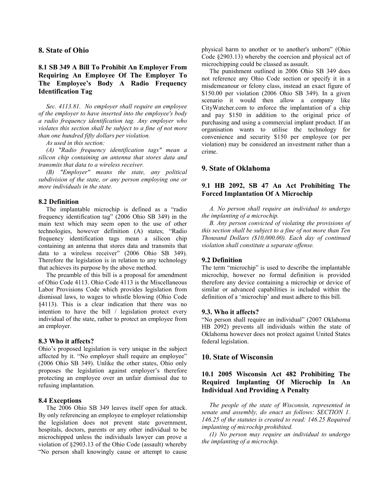## **8. State of Ohio**

## **8.1 SB 349 A Bill To Prohibit An Employer From Requiring An Employee Of The Employer To The Employee's Body A Radio Frequency Identification Tag**

*Sec. 4113.81. No employer shall require an employee of the employer to have inserted into the employee's body a radio frequency identification tag. Any employer who violates this section shall be subject to a fine of not more than one hundred fifty dollars per violation.* 

*As used in this section:* 

*(A) "Radio frequency identification tags" mean a silicon chip containing an antenna that stores data and transmits that data to a wireless receiver.* 

*(B) "Employer" means the state, any political subdivision of the state, or any person employing one or more individuals in the state.* 

#### **8.2 Definition**

The implantable microchip is defined as a "radio frequency identification tag" (2006 Ohio SB 349) in the main text which may seem open to the use of other technologies, however definition (A) states; "Radio frequency identification tags mean a silicon chip containing an antenna that stores data and transmits that data to a wireless receiver" (2006 Ohio SB 349). Therefore the legislation is in relation to any technology that achieves its purpose by the above method.

The preamble of this bill is a proposal for amendment of Ohio Code 4113. Ohio Code 4113 is the Miscellaneous Labor Provisions Code which provides legislation from dismissal laws, to wages to whistle blowing (Ohio Code §4113). This is a clear indication that there was no intention to have the bill / legislation protect every individual of the state, rather to protect an employee from an employer.

#### **8.3 Who it affects?**

Ohio's proposed legislation is very unique in the subject affected by it. "No employer shall require an employee" (2006 Ohio SB 349). Unlike the other states, Ohio only proposes the legislation against employer's therefore protecting an employee over an unfair dismissal due to refusing implantation.

#### **8.4 Exceptions**

The 2006 Ohio SB 349 leaves itself open for attack. By only referencing an employee to employer relationship the legislation does not prevent state government, hospitals, doctors, parents or any other individual to be microchipped unless the individuals lawyer can prove a violation of §2903.13 of the Ohio Code (assault) whereby "No person shall knowingly cause or attempt to cause physical harm to another or to another's unborn" (Ohio Code §2903.13) whereby the coercion and physical act of microchipping could be classed as assault.

The punishment outlined in 2006 Ohio SB 349 does not reference any Ohio Code section or specify it in a misdemeanour or felony class, instead an exact figure of \$150.00 per violation (2006 Ohio SB 349). In a given scenario it would then allow a company like CityWatcher.com to enforce the implantation of a chip and pay \$150 in addition to the original price of purchasing and using a commercial implant product. If an organisation wants to utilise the technology for convenience and security \$150 per employee (or per violation) may be considered an investment rather than a crime.

### **9. State of Oklahoma**

## **9.1 HB 2092, SB 47 An Act Prohibiting The Forced Implantation Of A Microchip**

*A. No person shall require an individual to undergo the implanting of a microchip.* 

*B. Any person convicted of violating the provisions of this section shall be subject to a fine of not more than Ten Thousand Dollars (\$10,000.00). Each day of continued violation shall constitute a separate offense.* 

#### **9.2 Definition**

The term "microchip" is used to describe the implantable microchip, however no formal definition is provided therefore any device containing a microchip or device of similar or advanced capabilities is included within the definition of a 'microchip' and must adhere to this bill.

#### **9.3. Who it affects?**

"No person shall require an individual" (2007 Oklahoma HB 2092) prevents all individuals within the state of Oklahoma however does not protect against United States federal legislation.

#### **10. State of Wisconsin**

## **10.1 2005 Wisconsin Act 482 Prohibiting The Required Implanting Of Microchip In An Individual And Providing A Penalty**

*The people of the state of Wisconsin, represented in senate and assembly, do enact as follows: SECTION 1. 146.25 of the statutes is created to read: 146.25 Required implanting of microchip prohibited.* 

*(1) No person may require an individual to undergo the implanting of a microchip.*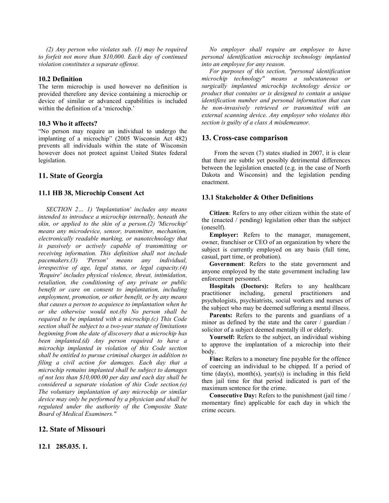*(2) Any person who violates sub. (1) may be required to forfeit not more than \$10,000. Each day of continued violation constitutes a separate offense.*

#### **10.2 Definition**

The term microchip is used however no definition is provided therefore any device containing a microchip or device of similar or advanced capabilities is included within the definition of a 'microchip.'

#### **10.3 Who it affects?**

"No person may require an individual to undergo the implanting of a microchip" (2005 Wisconsin Act 482) prevents all individuals within the state of Wisconsin however does not protect against United States federal legislation.

### **11. State of Georgia**

#### **11.1 HB 38, Microchip Consent Act**

*SECTION 2… 1) 'Implantation' includes any means intended to introduce a microchip internally, beneath the skin, or applied to the skin of a person.(2) 'Microchip' means any microdevice, sensor, transmitter, mechanism, electronically readable marking, or nanotechnology that is passively or actively capable of transmitting or receiving information. This definition shall not include pacemakers.(3) 'Person' means any individual, irrespective of age, legal status, or legal capacity.(4) 'Require' includes physical violence, threat, intimidation, retaliation, the conditioning of any private or public benefit or care on consent to implantation, including employment, promotion, or other benefit, or by any means that causes a person to acquiesce to implantation when he or she otherwise would not.(b) No person shall be required to be implanted with a microchip.(c) This Code section shall be subject to a two-year statute of limitations beginning from the date of discovery that a microchip has been implanted.(d) Any person required to have a microchip implanted in violation of this Code section shall be entitled to pursue criminal charges in addition to filing a civil action for damages. Each day that a microchip remains implanted shall be subject to damages of not less than \$10,000.00 per day and each day shall be considered a separate violation of this Code section.(e) The voluntary implantation of any microchip or similar device may only be performed by a physician and shall be regulated under the authority of the Composite State Board of Medical Examiners."* 

## **12. State of Missouri**

**12.1 285.035. 1.** 

*No employer shall require an employee to have personal identification microchip technology implanted into an employee for any reason.* 

*For purposes of this section, "personal identification microchip technology" means a subcutaneous or surgically implanted microchip technology device or product that contains or is designed to contain a unique identification number and personal information that can be non-invasively retrieved or transmitted with an external scanning device. Any employer who violates this section is guilty of a class A misdemeanor.* 

### **13. Cross-case comparison**

 From the seven (7) states studied in 2007, it is clear that there are subtle yet possibly detrimental differences between the legislation enacted (e.g. in the case of North Dakota and Wisconsin) and the legislation pending enactment.

#### **13.1 Stakeholder & Other Definitions**

**Citizen**: Refers to any other citizen within the state of the (enacted / pending) legislation other than the subject (oneself).

**Employer:** Refers to the manager, management, owner, franchiser or CEO of an organization by where the subject is currently employed on any basis (full time, casual, part time, or probation).

**Government**: Refers to the state government and anyone employed by the state government including law enforcement personnel.

**Hospitals (Doctors):** Refers to any healthcare practitioner including, general practitioners and psychologists, psychiatrists, social workers and nurses of the subject who may be deemed suffering a mental illness.

Parents: Refers to the parents and guardians of a minor as defined by the state and the carer / guardian / solicitor of a subject deemed mentally ill or elderly.

Yourself: Refers to the subject, an individual wishing to approve the implantation of a microchip into their body.

**Fine:** Refers to a monetary fine payable for the offence of coercing an individual to be chipped. If a period of time  $\frac{day(s)}{s}$ , month(s), year(s)) is including in this field then jail time for that period indicated is part of the maximum sentence for the crime.

**Consecutive Day:** Refers to the punishment (jail time / momentary fine) applicable for each day in which the crime occurs.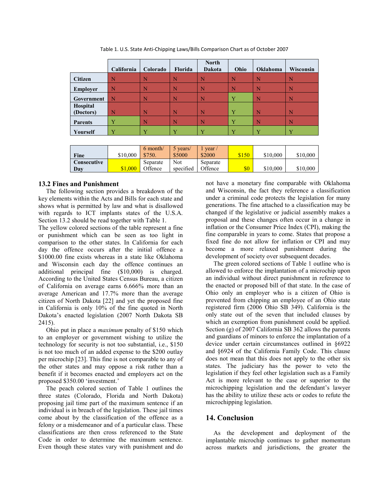|                       | California | Colorado | Florida      | <b>North</b><br><b>Dakota</b> | Ohio | Oklahoma    | <b>Wisconsin</b> |
|-----------------------|------------|----------|--------------|-------------------------------|------|-------------|------------------|
| <b>Citizen</b>        | N          | N        | N            | N                             | N    | N           | N                |
| Employer              | TN.        | N        | N            | N                             | N    | N           | N                |
| Government            | N          | N        | N            | N                             |      | N           | N                |
| Hospital<br>(Doctors) | N          | N        | N            | N                             | Y    | N           | N                |
| <b>Parents</b>        | v          | N        | N            | N                             |      | N           | N                |
| Yourself              | v          | v        | $\mathbf{v}$ |                               |      | $\mathbf v$ | $\mathbf v$      |

Table 1. U.S. State Anti-Chipping Laws/Bills Comparison Chart as of October 2007

| Fine        | \$10,000 | 6 month/<br>\$750. | 5 years/<br>\$5000 | vear<br>\$2000 | \$150 | \$10,000 | \$10,000 |
|-------------|----------|--------------------|--------------------|----------------|-------|----------|----------|
| Consecutive |          | Separate           | Not                | Separate       |       |          |          |
| Dav         | \$1,000  | Offence            | specified          | Offence        | $\$0$ | \$10,000 | \$10,000 |

#### **13.2 Fines and Punishment**

The following section provides a breakdown of the key elements within the Acts and Bills for each state and shows what is permitted by law and what is disallowed with regards to ICT implants states of the U.S.A. Section 13.2 should be read together with Table 1.

The yellow colored sections of the table represent a fine or punishment which can be seen as too light in comparison to the other states. In California for each day the offence occurs after the initial offence a \$1000.00 fine exists whereas in a state like Oklahoma and Wisconsin each day the offence continues an additional principal fine (\$10,000) is charged. According to the United States Census Bureau, a citizen of California on average earns 6.666% more than an average American and 17.7% more than the average citizen of North Dakota [22] and yet the proposed fine in California is only 10% of the fine quoted in North Dakota's enacted legislation (2007 North Dakota SB 2415).

Ohio put in place a *maximum* penalty of \$150 which to an employer or government wishing to utilize the technology for security is not too substantial, i.e., \$150 is not too much of an added expense to the \$200 outlay per microchip [23]. This fine is not comparable to any of the other states and may oppose a risk rather than a benefit if it becomes enacted and employers act on the proposed \$350.00 'investment.'

The peach colored section of Table 1 outlines the three states (Colorado, Florida and North Dakota) proposing jail time part of the maximum sentence if an individual is in breach of the legislation. These jail times come about by the classification of the offence as a felony or a misdemeanor and of a particular class. These classifications are then cross referenced to the State Code in order to determine the maximum sentence. Even though these states vary with punishment and do not have a monetary fine comparable with Oklahoma and Wisconsin, the fact they reference a classification under a criminal code protects the legislation for many generations. The fine attached to a classification may be changed if the legislative or judicial assembly makes a proposal and these changes often occur in a change in inflation or the Consumer Price Index (CPI), making the fine comparable in years to come. States that propose a fixed fine do not allow for inflation or CPI and may become a more relaxed punishment during the development of society over subsequent decades.

The green colored sections of Table 1 outline who is allowed to enforce the implantation of a microchip upon an individual without direct punishment in reference to the enacted or proposed bill of that state. In the case of Ohio only an employer who is a citizen of Ohio is prevented from chipping an employee of an Ohio state registered firm (2006 Ohio SB 349). California is the only state out of the seven that included clauses by which an exemption from punishment could be applied. Section (g) of 2007 California SB 362 allows the parents and guardians of minors to enforce the implantation of a device under certain circumstances outlined in §6922 and §6924 of the California Family Code. This clause does not mean that this does not apply to the other six states. The judiciary has the power to veto the legislation if they feel other legislation such as a Family Act is more relevant to the case or superior to the microchipping legislation and the defendant's lawyer has the ability to utilize these acts or codes to refute the microchipping legislation.

## **14. Conclusion**

As the development and deployment of the implantable microchip continues to gather momentum across markets and jurisdictions, the greater the